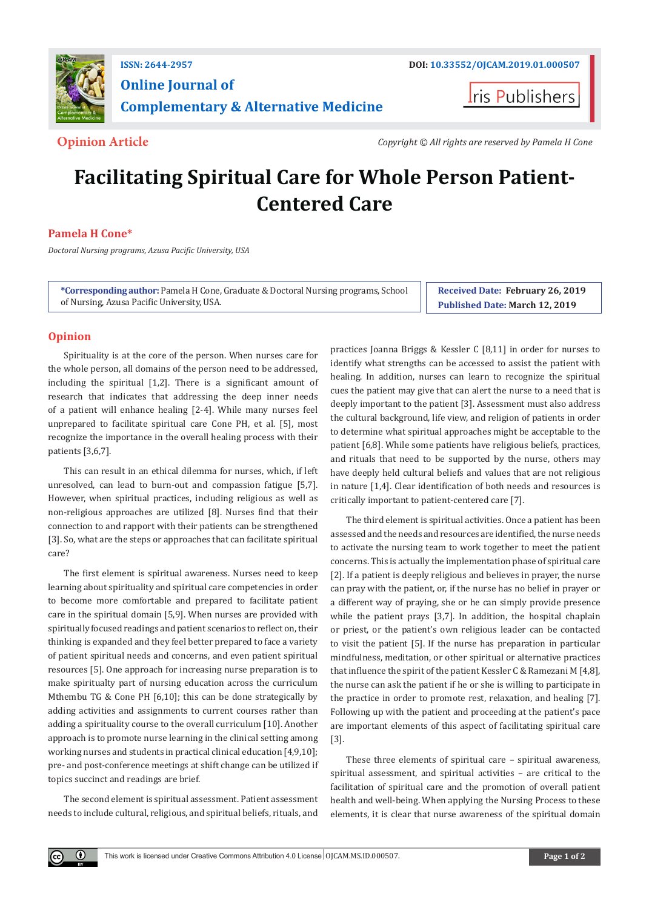

# **Online Journal of Complementary & Alternative Medicine**

**ris Publishers** 

**Opinion Article** *Copyright © All rights are reserved by Pamela H Cone*

# **Facilitating Spiritual Care for Whole Person Patient-Centered Care**

# **Pamela H Cone\***

*Doctoral Nursing programs, Azusa Pacific University, USA*

**\*Corresponding author:** Pamela H Cone, Graduate & Doctoral Nursing programs, School of Nursing, Azusa Pacific University, USA.

**Received Date: February 26, 2019 Published Date: March 12, 2019**

## **Opinion**

Spirituality is at the core of the person. When nurses care for the whole person, all domains of the person need to be addressed, including the spiritual [1,2]. There is a significant amount of research that indicates that addressing the deep inner needs of a patient will enhance healing [2-4]. While many nurses feel unprepared to facilitate spiritual care Cone PH, et al. [5], most recognize the importance in the overall healing process with their patients [3,6,7].

This can result in an ethical dilemma for nurses, which, if left unresolved, can lead to burn-out and compassion fatigue [5,7]. However, when spiritual practices, including religious as well as non-religious approaches are utilized [8]. Nurses find that their connection to and rapport with their patients can be strengthened [3]. So, what are the steps or approaches that can facilitate spiritual care?

The first element is spiritual awareness. Nurses need to keep learning about spirituality and spiritual care competencies in order to become more comfortable and prepared to facilitate patient care in the spiritual domain [5,9]. When nurses are provided with spiritually focused readings and patient scenarios to reflect on, their thinking is expanded and they feel better prepared to face a variety of patient spiritual needs and concerns, and even patient spiritual resources [5]. One approach for increasing nurse preparation is to make spiritualty part of nursing education across the curriculum Mthembu TG & Cone PH [6,10]; this can be done strategically by adding activities and assignments to current courses rather than adding a spirituality course to the overall curriculum [10]. Another approach is to promote nurse learning in the clinical setting among working nurses and students in practical clinical education [4,9,10]; pre- and post-conference meetings at shift change can be utilized if topics succinct and readings are brief.

The second element is spiritual assessment. Patient assessment needs to include cultural, religious, and spiritual beliefs, rituals, and

 $\bf \Theta$ 

practices Joanna Briggs & Kessler C [8,11] in order for nurses to identify what strengths can be accessed to assist the patient with healing. In addition, nurses can learn to recognize the spiritual cues the patient may give that can alert the nurse to a need that is deeply important to the patient [3]. Assessment must also address the cultural background, life view, and religion of patients in order to determine what spiritual approaches might be acceptable to the patient [6,8]. While some patients have religious beliefs, practices, and rituals that need to be supported by the nurse, others may have deeply held cultural beliefs and values that are not religious in nature [1,4]. Clear identification of both needs and resources is critically important to patient-centered care [7].

The third element is spiritual activities. Once a patient has been assessed and the needs and resources are identified, the nurse needs to activate the nursing team to work together to meet the patient concerns. This is actually the implementation phase of spiritual care [2]. If a patient is deeply religious and believes in prayer, the nurse can pray with the patient, or, if the nurse has no belief in prayer or a different way of praying, she or he can simply provide presence while the patient prays [3,7]. In addition, the hospital chaplain or priest, or the patient's own religious leader can be contacted to visit the patient [5]. If the nurse has preparation in particular mindfulness, meditation, or other spiritual or alternative practices that influence the spirit of the patient Kessler C & Ramezani M [4,8], the nurse can ask the patient if he or she is willing to participate in the practice in order to promote rest, relaxation, and healing [7]. Following up with the patient and proceeding at the patient's pace are important elements of this aspect of facilitating spiritual care [3].

These three elements of spiritual care – spiritual awareness, spiritual assessment, and spiritual activities – are critical to the facilitation of spiritual care and the promotion of overall patient health and well-being. When applying the Nursing Process to these elements, it is clear that nurse awareness of the spiritual domain